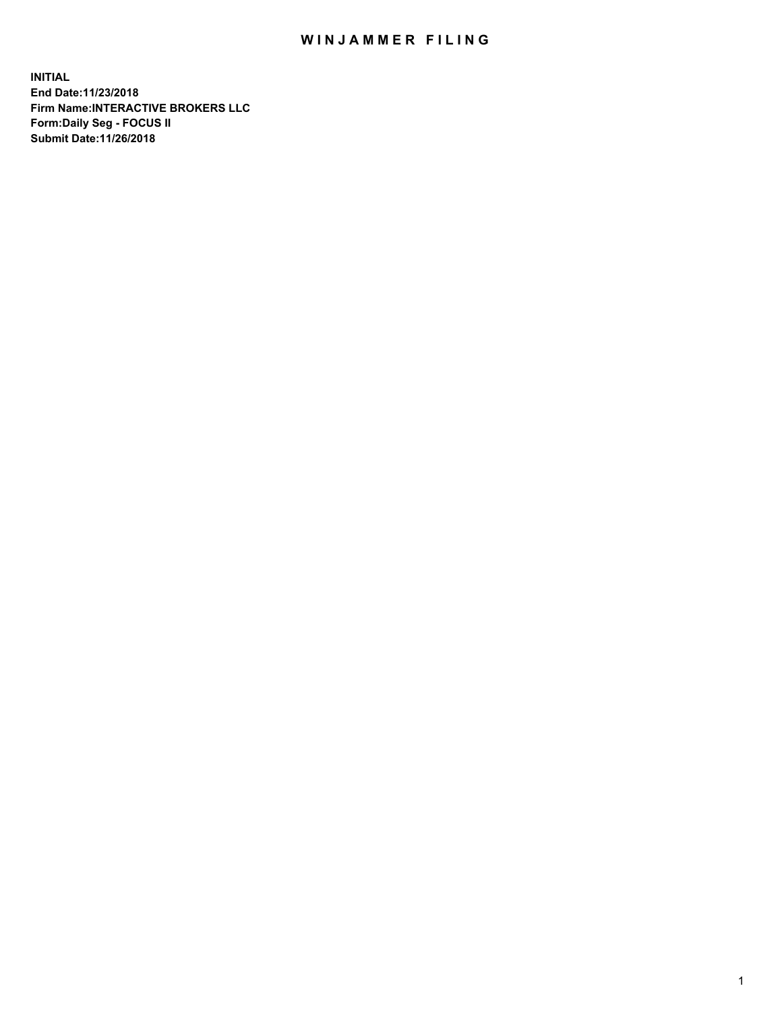## WIN JAMMER FILING

**INITIAL End Date:11/23/2018 Firm Name:INTERACTIVE BROKERS LLC Form:Daily Seg - FOCUS II Submit Date:11/26/2018**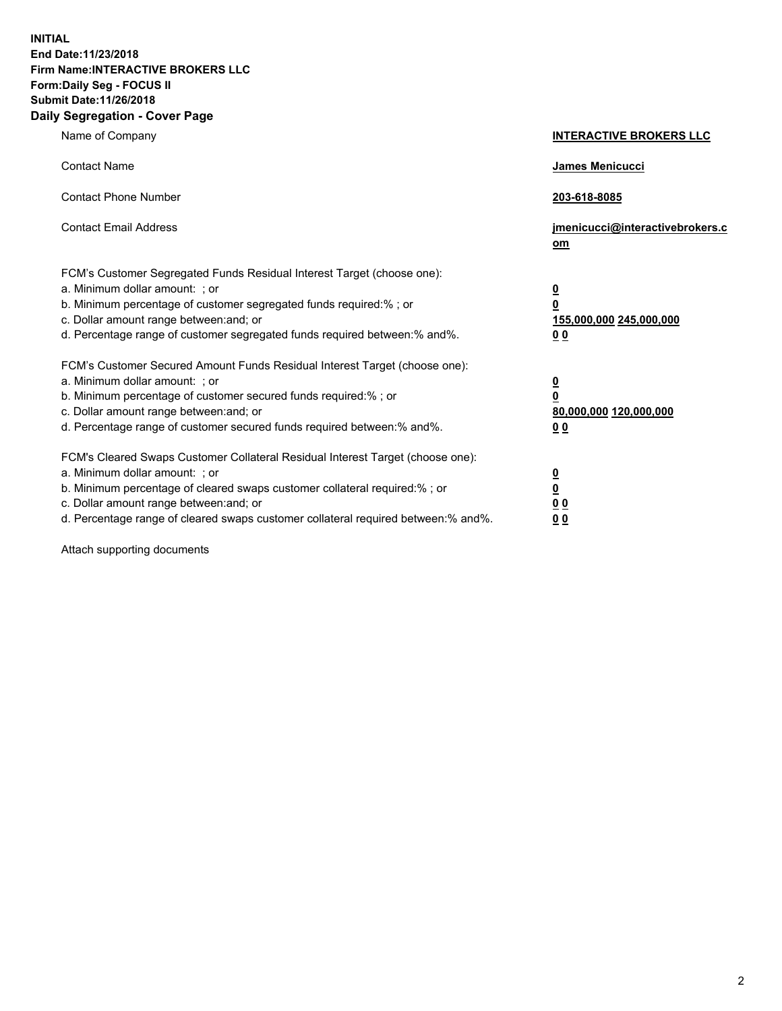**INITIAL End Date:11/23/2018 Firm Name:INTERACTIVE BROKERS LLC Form:Daily Seg - FOCUS II Submit Date:11/26/2018 Daily Segregation - Cover Page**

| Name of Company                                                                                                                                                                                                                                                                                                                | <b>INTERACTIVE BROKERS LLC</b>                                                                  |
|--------------------------------------------------------------------------------------------------------------------------------------------------------------------------------------------------------------------------------------------------------------------------------------------------------------------------------|-------------------------------------------------------------------------------------------------|
| <b>Contact Name</b>                                                                                                                                                                                                                                                                                                            | James Menicucci                                                                                 |
| <b>Contact Phone Number</b>                                                                                                                                                                                                                                                                                                    | 203-618-8085                                                                                    |
| <b>Contact Email Address</b>                                                                                                                                                                                                                                                                                                   | jmenicucci@interactivebrokers.c<br>om                                                           |
| FCM's Customer Segregated Funds Residual Interest Target (choose one):<br>a. Minimum dollar amount: ; or<br>b. Minimum percentage of customer segregated funds required:%; or<br>c. Dollar amount range between: and; or<br>d. Percentage range of customer segregated funds required between:% and%.                          | $\overline{\mathbf{0}}$<br>$\overline{\mathbf{0}}$<br>155,000,000 245,000,000<br>0 <sub>0</sub> |
| FCM's Customer Secured Amount Funds Residual Interest Target (choose one):<br>a. Minimum dollar amount: ; or<br>b. Minimum percentage of customer secured funds required:% ; or<br>c. Dollar amount range between: and; or<br>d. Percentage range of customer secured funds required between:% and%.                           | $\overline{\mathbf{0}}$<br>$\overline{\mathbf{0}}$<br>80,000,000 120,000,000<br>0 <sub>0</sub>  |
| FCM's Cleared Swaps Customer Collateral Residual Interest Target (choose one):<br>a. Minimum dollar amount: ; or<br>b. Minimum percentage of cleared swaps customer collateral required:% ; or<br>c. Dollar amount range between: and; or<br>d. Percentage range of cleared swaps customer collateral required between:% and%. | $\overline{\mathbf{0}}$<br>$\underline{\mathbf{0}}$<br>0 <sub>0</sub><br>0 <sub>0</sub>         |

Attach supporting documents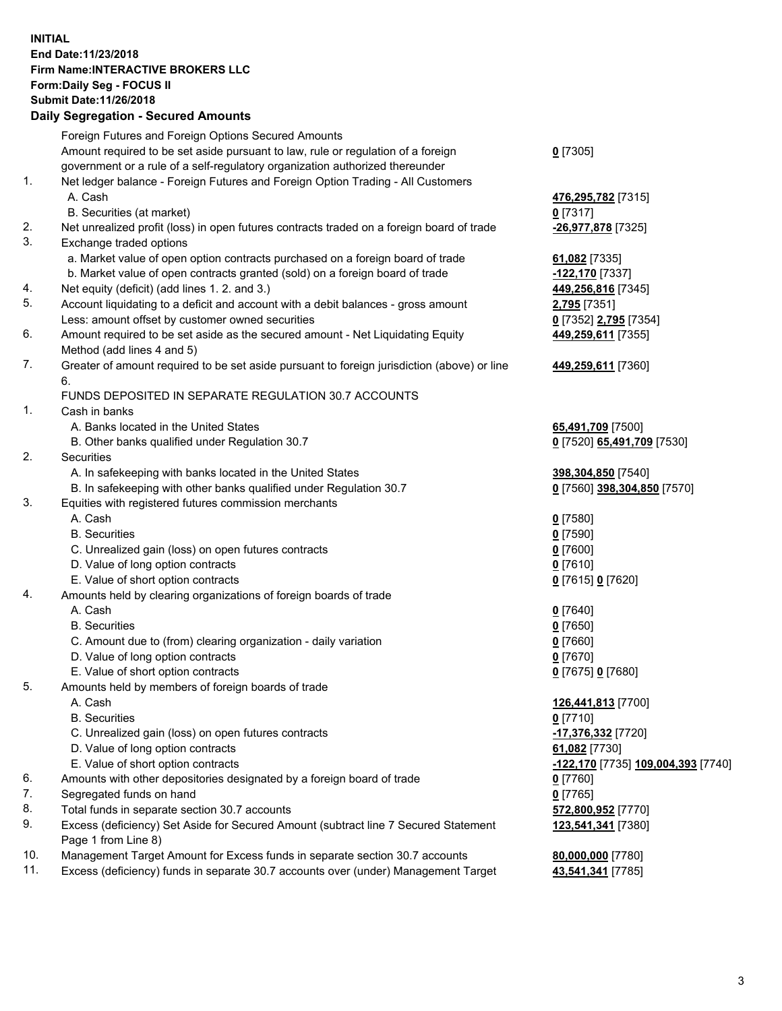## **INITIAL End Date:11/23/2018 Firm Name:INTERACTIVE BROKERS LLC Form:Daily Seg - FOCUS II Submit Date:11/26/2018 Daily Segregation - Secured Amounts**

|     | Daily Segregation - Secured Amounts                                                         |                                    |
|-----|---------------------------------------------------------------------------------------------|------------------------------------|
|     | Foreign Futures and Foreign Options Secured Amounts                                         |                                    |
|     | Amount required to be set aside pursuant to law, rule or regulation of a foreign            | $0$ [7305]                         |
|     | government or a rule of a self-regulatory organization authorized thereunder                |                                    |
| 1.  | Net ledger balance - Foreign Futures and Foreign Option Trading - All Customers             |                                    |
|     | A. Cash                                                                                     | 476,295,782 [7315]                 |
|     | B. Securities (at market)                                                                   | $0$ [7317]                         |
| 2.  | Net unrealized profit (loss) in open futures contracts traded on a foreign board of trade   | -26,977,878 [7325]                 |
| 3.  | Exchange traded options                                                                     |                                    |
|     | a. Market value of open option contracts purchased on a foreign board of trade              | 61,082 [7335]                      |
|     | b. Market value of open contracts granted (sold) on a foreign board of trade                | 122,170 [7337]                     |
| 4.  | Net equity (deficit) (add lines 1. 2. and 3.)                                               | 449,256,816 [7345]                 |
| 5.  | Account liquidating to a deficit and account with a debit balances - gross amount           | 2,795 [7351]                       |
|     | Less: amount offset by customer owned securities                                            | 0 [7352] 2,795 [7354]              |
| 6.  | Amount required to be set aside as the secured amount - Net Liquidating Equity              | 449,259,611 [7355]                 |
|     | Method (add lines 4 and 5)                                                                  |                                    |
| 7.  | Greater of amount required to be set aside pursuant to foreign jurisdiction (above) or line | 449,259,611 [7360]                 |
|     | 6.                                                                                          |                                    |
|     | FUNDS DEPOSITED IN SEPARATE REGULATION 30.7 ACCOUNTS                                        |                                    |
| 1.  | Cash in banks                                                                               |                                    |
|     | A. Banks located in the United States                                                       | 65,491,709 [7500]                  |
|     | B. Other banks qualified under Regulation 30.7                                              | 0 [7520] 65,491,709 [7530]         |
| 2.  | Securities                                                                                  |                                    |
|     | A. In safekeeping with banks located in the United States                                   | 398,304,850 [7540]                 |
|     | B. In safekeeping with other banks qualified under Regulation 30.7                          | 0 [7560] 398,304,850 [7570]        |
| 3.  | Equities with registered futures commission merchants                                       |                                    |
|     | A. Cash                                                                                     | $0$ [7580]                         |
|     | <b>B.</b> Securities                                                                        | $0$ [7590]                         |
|     | C. Unrealized gain (loss) on open futures contracts                                         | $0$ [7600]                         |
|     | D. Value of long option contracts                                                           | $0$ [7610]                         |
|     | E. Value of short option contracts                                                          | 0 [7615] 0 [7620]                  |
| 4.  | Amounts held by clearing organizations of foreign boards of trade                           |                                    |
|     | A. Cash                                                                                     | $0$ [7640]                         |
|     | <b>B.</b> Securities                                                                        | $0$ [7650]                         |
|     | C. Amount due to (from) clearing organization - daily variation                             | $0$ [7660]                         |
|     | D. Value of long option contracts                                                           | $0$ [7670]                         |
|     | E. Value of short option contracts                                                          | 0 [7675] 0 [7680]                  |
| 5.  | Amounts held by members of foreign boards of trade                                          |                                    |
|     | A. Cash                                                                                     | 126,441,813 [7700]                 |
|     | <b>B.</b> Securities                                                                        | $0$ [7710]                         |
|     | C. Unrealized gain (loss) on open futures contracts                                         | $-17,376,332$ [7720]               |
|     | D. Value of long option contracts                                                           | 61,082 [7730]                      |
|     | E. Value of short option contracts                                                          | -122,170 [7735] 109,004,393 [7740] |
| 6.  | Amounts with other depositories designated by a foreign board of trade                      | $0$ [7760]                         |
| 7.  | Segregated funds on hand                                                                    | $0$ [7765]                         |
| 8.  | Total funds in separate section 30.7 accounts                                               | 572,800,952 [7770]                 |
| 9.  | Excess (deficiency) Set Aside for Secured Amount (subtract line 7 Secured Statement         | 123,541,341 [7380]                 |
|     | Page 1 from Line 8)                                                                         |                                    |
| 10. | Management Target Amount for Excess funds in separate section 30.7 accounts                 | 80,000,000 [7780]                  |
| 11. | Excess (deficiency) funds in separate 30.7 accounts over (under) Management Target          | 43,541,341 [7785]                  |
|     |                                                                                             |                                    |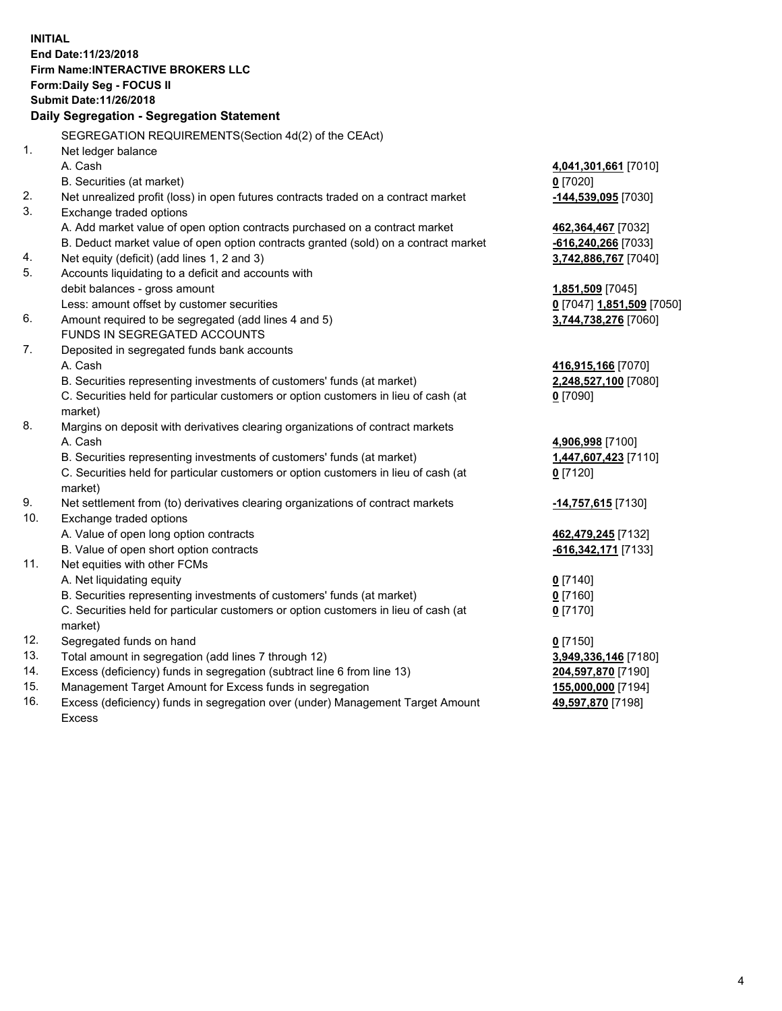**INITIAL End Date:11/23/2018 Firm Name:INTERACTIVE BROKERS LLC Form:Daily Seg - FOCUS II Submit Date:11/26/2018 Daily Segregation - Segregation Statement** SEGREGATION REQUIREMENTS(Section 4d(2) of the CEAct) 1. Net ledger balance A. Cash **4,041,301,661** [7010] B. Securities (at market) **0** [7020] 2. Net unrealized profit (loss) in open futures contracts traded on a contract market **-144,539,095** [7030] 3. Exchange traded options A. Add market value of open option contracts purchased on a contract market **462,364,467** [7032] B. Deduct market value of open option contracts granted (sold) on a contract market **-616,240,266** [7033] 4. Net equity (deficit) (add lines 1, 2 and 3) **3,742,886,767** [7040] 5. Accounts liquidating to a deficit and accounts with debit balances - gross amount **1,851,509** [7045] Less: amount offset by customer securities **0** [7047] **1,851,509** [7050] 6. Amount required to be segregated (add lines 4 and 5) **3,744,738,276** [7060] FUNDS IN SEGREGATED ACCOUNTS 7. Deposited in segregated funds bank accounts A. Cash **416,915,166** [7070] B. Securities representing investments of customers' funds (at market) **2,248,527,100** [7080] C. Securities held for particular customers or option customers in lieu of cash (at market) **0** [7090] 8. Margins on deposit with derivatives clearing organizations of contract markets A. Cash **4,906,998** [7100] B. Securities representing investments of customers' funds (at market) **1,447,607,423** [7110] C. Securities held for particular customers or option customers in lieu of cash (at market) **0** [7120] 9. Net settlement from (to) derivatives clearing organizations of contract markets **-14,757,615** [7130] 10. Exchange traded options A. Value of open long option contracts **462,479,245** [7132] B. Value of open short option contracts **-616,342,171** [7133] 11. Net equities with other FCMs A. Net liquidating equity **0** [7140] B. Securities representing investments of customers' funds (at market) **0** [7160] C. Securities held for particular customers or option customers in lieu of cash (at market) **0** [7170] 12. Segregated funds on hand **0** [7150] 13. Total amount in segregation (add lines 7 through 12) **3,949,336,146** [7180] 14. Excess (deficiency) funds in segregation (subtract line 6 from line 13) **204,597,870** [7190] 15. Management Target Amount for Excess funds in segregation **155,000,000** [7194] **49,597,870** [7198]

16. Excess (deficiency) funds in segregation over (under) Management Target Amount Excess